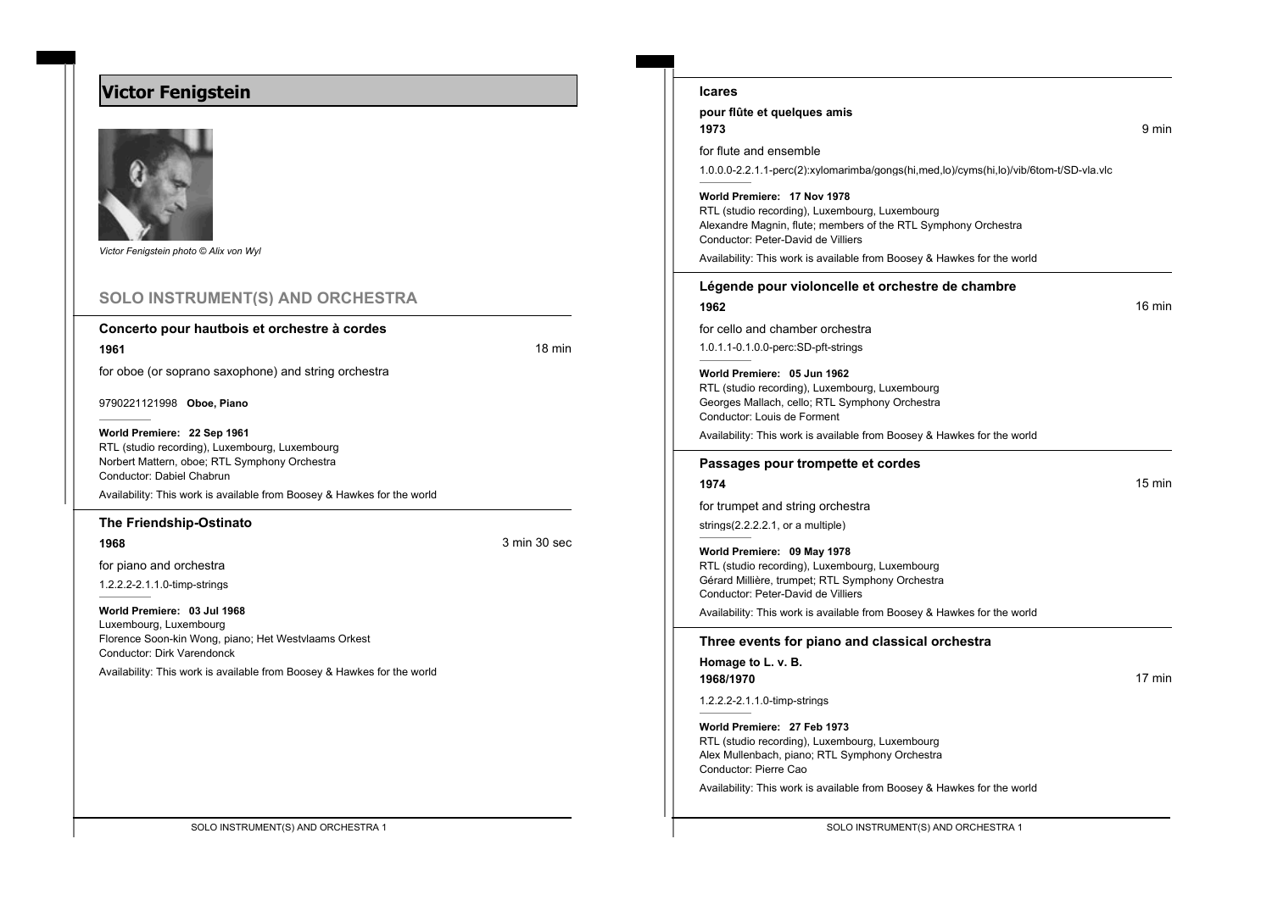# **Victor Fenigstein**



*Victor Fenigstein photo © Alix von Wyl*

### **SOLO INSTRUMENT(S) AND ORCHESTRA**

#### **Concerto pour hautbois et orchestre à cordes**

**1961 18 minutes and the contract of the contract of the contract of the contract of the contract of the contract of the contract of the contract of the contract of the contract of the contract of the contract of the con** 

for oboe (or soprano saxophone) and string orchestra

9790221121998 **Oboe, Piano**

#### **World Premiere: 22 Sep 1961**

RTL (studio recording), Luxembourg, Luxembourg Norbert Mattern, oboe; RTL Symphony Orchestra Conductor: Dabiel Chabrun Availability: This work is available from Boosey & Hawkes for the world

# **The Friendship-Ostinato**

**1968** 3 min 30 sec

for piano and orchestra

1.2.2.2-2.1.1.0-timp-strings

**World Premiere: 03 Jul 1968** Luxembourg, Luxembourg Florence Soon-kin Wong, piano; Het Westvlaams Orkest Conductor: Dirk Varendonck

Availability: This work is available from Boosey & Hawkes for the world

| <b>Icares</b>                                                                                                                                                                                                                                      |        |
|----------------------------------------------------------------------------------------------------------------------------------------------------------------------------------------------------------------------------------------------------|--------|
| pour flûte et quelques amis                                                                                                                                                                                                                        |        |
| 1973                                                                                                                                                                                                                                               | 9 min  |
| for flute and ensemble                                                                                                                                                                                                                             |        |
| 1.0.0.0-2.2.1.1-perc(2):xylomarimba/gongs(hi,med,lo)/cyms(hi,lo)/vib/6tom-t/SD-vla.vlc                                                                                                                                                             |        |
| World Premiere: 17 Nov 1978<br>RTL (studio recording), Luxembourg, Luxembourg<br>Alexandre Magnin, flute; members of the RTL Symphony Orchestra<br>Conductor: Peter-David de Villiers                                                              |        |
| Availability: This work is available from Boosey & Hawkes for the world                                                                                                                                                                            |        |
| Légende pour violoncelle et orchestre de chambre                                                                                                                                                                                                   |        |
| 1962                                                                                                                                                                                                                                               | 16 min |
| for cello and chamber orchestra                                                                                                                                                                                                                    |        |
| 1.0.1.1-0.1.0.0-perc:SD-pft-strings                                                                                                                                                                                                                |        |
| World Premiere: 05 Jun 1962<br>RTL (studio recording), Luxembourg, Luxembourg<br>Georges Mallach, cello; RTL Symphony Orchestra<br>Conductor: Louis de Forment<br>Availability: This work is available from Boosey & Hawkes for the world          |        |
| Passages pour trompette et cordes                                                                                                                                                                                                                  |        |
| 1974                                                                                                                                                                                                                                               | 15 min |
| for trumpet and string orchestra                                                                                                                                                                                                                   |        |
| strings $(2.2.2.2.1, or a multiple)$                                                                                                                                                                                                               |        |
| World Premiere: 09 May 1978<br>RTL (studio recording), Luxembourg, Luxembourg<br>Gérard Millière, trumpet; RTL Symphony Orchestra<br>Conductor: Peter-David de Villiers<br>Availability: This work is available from Boosey & Hawkes for the world |        |
| Three events for piano and classical orchestra                                                                                                                                                                                                     |        |
| Homage to L. v. B.                                                                                                                                                                                                                                 |        |
| 1968/1970                                                                                                                                                                                                                                          | 17 min |
| 1.2.2.2-2.1.1.0-timp-strings                                                                                                                                                                                                                       |        |
| World Premiere: 27 Feb 1973<br>RTL (studio recording), Luxembourg, Luxembourg<br>Alex Mullenbach, piano; RTL Symphony Orchestra<br>Conductor: Pierre Cao                                                                                           |        |

Availability: This work is available from Boosey & Hawkes for the world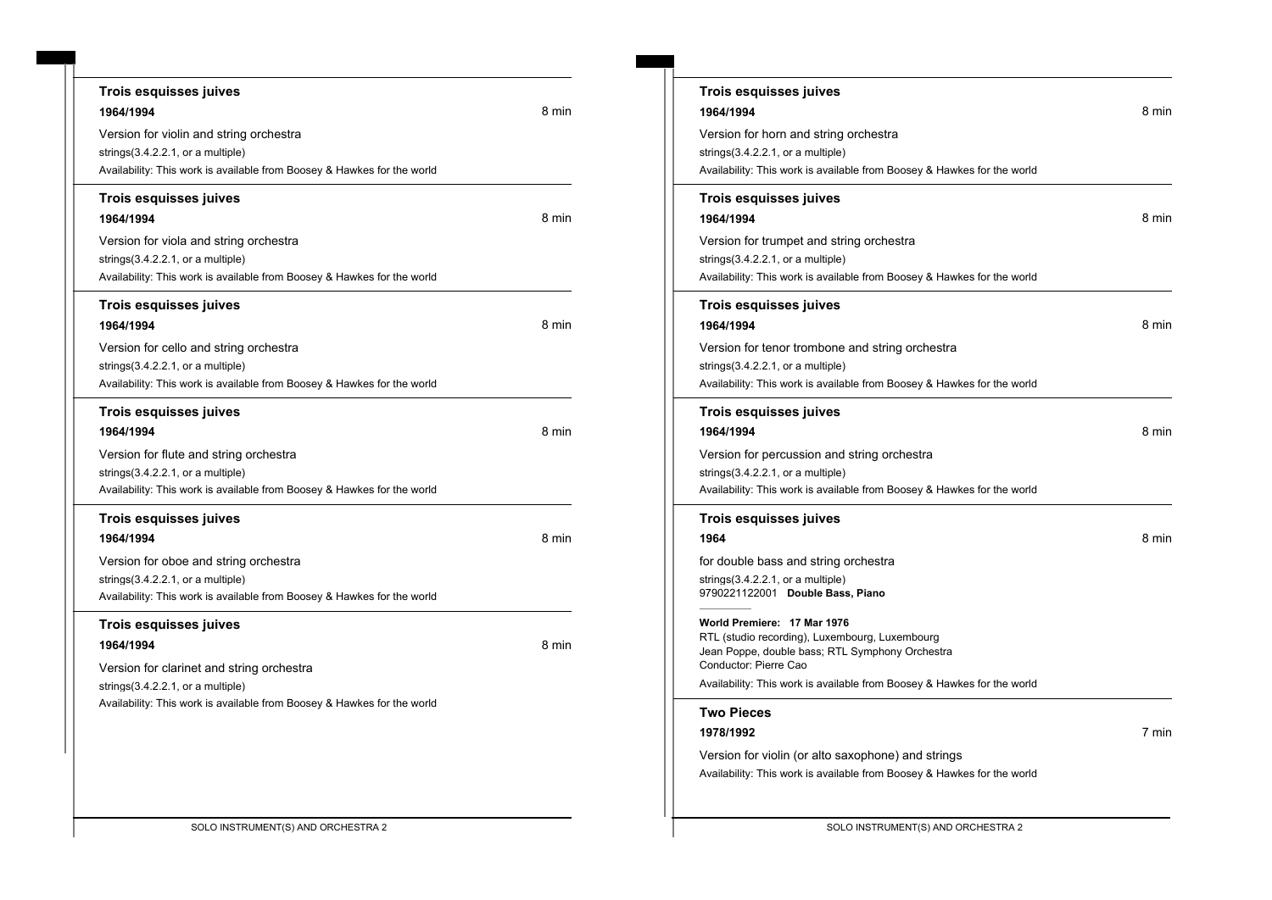| Trois esquisses juives<br>1964/1994<br>Version for violin and string orchestra<br>strings $(3.4.2.2.1, or a multiple)$                                    | 8 min |
|-----------------------------------------------------------------------------------------------------------------------------------------------------------|-------|
| Availability: This work is available from Boosey & Hawkes for the world                                                                                   |       |
| Trois esquisses juives<br>1964/1994                                                                                                                       | 8 min |
| Version for viola and string orchestra<br>strings $(3.4.2.2.1,$ or a multiple)<br>Availability: This work is available from Boosey & Hawkes for the world |       |
| Trois esquisses juives<br>1964/1994                                                                                                                       | 8 min |
| Version for cello and string orchestra<br>strings $(3.4.2.2.1, or a multiple)$<br>Availability: This work is available from Boosey & Hawkes for the world |       |
| Trois esquisses juives<br>1964/1994                                                                                                                       | 8 min |
| Version for flute and string orchestra<br>strings(3.4.2.2.1, or a multiple)<br>Availability: This work is available from Boosey & Hawkes for the world    |       |
| Trois esquisses juives<br>1964/1994                                                                                                                       | 8 min |
| Version for oboe and string orchestra<br>strings $(3.4.2.2.1,$ or a multiple)<br>Availability: This work is available from Boosey & Hawkes for the world  |       |
| Trois esquisses juives<br>1964/1994                                                                                                                       | 8 min |
| Version for clarinet and string orchestra                                                                                                                 |       |

| Trois esquisses juives<br>1964/1994<br>Version for horn and string orchestra<br>strings $(3.4.2.2.1)$ , or a multiple)<br>Availability: This work is available from Boosey & Hawkes for the world                                                                                             | 8 min |
|-----------------------------------------------------------------------------------------------------------------------------------------------------------------------------------------------------------------------------------------------------------------------------------------------|-------|
| Trois esquisses juives<br>1964/1994                                                                                                                                                                                                                                                           | 8 min |
| Version for trumpet and string orchestra<br>strings $(3.4.2.2.1,$ or a multiple)<br>Availability: This work is available from Boosey & Hawkes for the world                                                                                                                                   |       |
| <b>Trois esquisses juives</b><br>1964/1994                                                                                                                                                                                                                                                    | 8 min |
| Version for tenor trombone and string orchestra<br>strings $(3.4.2.2.1,$ or a multiple)<br>Availability: This work is available from Boosey & Hawkes for the world                                                                                                                            |       |
| Trois esquisses juives<br>1964/1994                                                                                                                                                                                                                                                           | 8 min |
| Version for percussion and string orchestra<br>strings $(3.4.2.2.1)$ , or a multiple)<br>Availability: This work is available from Boosey & Hawkes for the world                                                                                                                              |       |
| Trois esquisses juives                                                                                                                                                                                                                                                                        |       |
| 1964<br>for double bass and string orchestra<br>strings $(3.4.2.2.1, \text{ or a multiple})$<br>9790221122001 Double Bass, Piano<br>World Premiere: 17 Mar 1976<br>RTL (studio recording), Luxembourg, Luxembourg<br>Jean Poppe, double bass; RTL Symphony Orchestra<br>Conductor: Pierre Cao | 8 min |
| Availability: This work is available from Boosey & Hawkes for the world                                                                                                                                                                                                                       |       |
| <b>Two Pieces</b>                                                                                                                                                                                                                                                                             |       |
| 1978/1992<br>Version for violin (or alto saxophone) and strings<br>Availability: This work is available from Boosey & Hawkes for the world                                                                                                                                                    | 7 min |